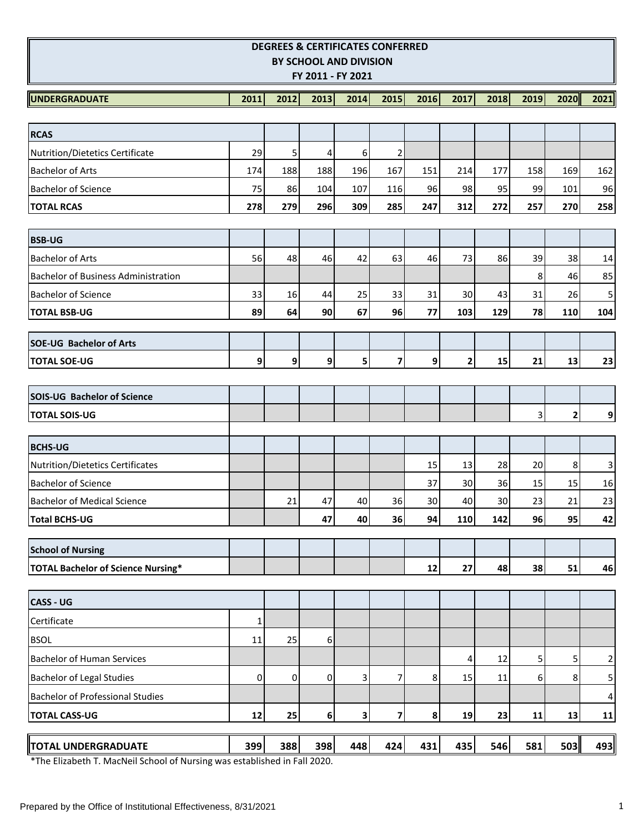| <b>DEGREES &amp; CERTIFICATES CONFERRED</b><br>BY SCHOOL AND DIVISION<br>FY 2011 - FY 2021 |              |                |      |      |      |                  |              |      |                |                |                 |
|--------------------------------------------------------------------------------------------|--------------|----------------|------|------|------|------------------|--------------|------|----------------|----------------|-----------------|
| <b>UNDERGRADUATE</b>                                                                       | 2011         | 2012           | 2013 | 2014 | 2015 | 2016             | 2017         | 2018 | 2019           | 2020           | 2021            |
|                                                                                            |              |                |      |      |      |                  |              |      |                |                |                 |
| <b>RCAS</b>                                                                                |              |                |      |      |      |                  |              |      |                |                |                 |
| Nutrition/Dietetics Certificate                                                            | 29           | 5              | 4    | 6    | 2    |                  |              |      |                |                |                 |
| <b>Bachelor of Arts</b>                                                                    | 174          | 188            | 188  | 196  | 167  | 151              | 214          | 177  | 158            | 169            | 162             |
| <b>Bachelor of Science</b>                                                                 | 75           | 86             | 104  | 107  | 116  | 96               | 98           | 95   | 99             | 101            | 96              |
| <b>TOTAL RCAS</b>                                                                          | 278          | 279            | 296  | 309  | 285  | 247              | 312          | 272  | 257            | 270            | 258             |
| <b>BSB-UG</b>                                                                              |              |                |      |      |      |                  |              |      |                |                |                 |
| <b>Bachelor of Arts</b>                                                                    | 56           | 48             | 46   | 42   | 63   | 46               | 73           | 86   | 39             | 38             | 14              |
| <b>Bachelor of Business Administration</b>                                                 |              |                |      |      |      |                  |              |      | 8              | 46             | 85              |
| <b>Bachelor of Science</b>                                                                 | 33           | 16             | 44   | 25   | 33   | 31               | 30           | 43   | 31             | 26             | 5               |
| <b>TOTAL BSB-UG</b>                                                                        | 89           | 64             | 90   | 67   | 96   | 77               | 103          | 129  | 78             | 110            | 104             |
| <b>SOE-UG Bachelor of Arts</b>                                                             |              |                |      |      |      |                  |              |      |                |                |                 |
| <b>TOTAL SOE-UG</b>                                                                        | 9            | $\mathbf{g}$   | 9    | 5    | 7    | 9                | $\mathbf{2}$ | 15   | 21             | 13             | 23              |
|                                                                                            |              |                |      |      |      |                  |              |      |                |                |                 |
| <b>SOIS-UG Bachelor of Science</b>                                                         |              |                |      |      |      |                  |              |      |                |                |                 |
| <b>TOTAL SOIS-UG</b>                                                                       |              |                |      |      |      |                  |              |      | $\overline{3}$ | $\overline{2}$ | $\overline{9}$  |
| <b>BCHS-UG</b>                                                                             |              |                |      |      |      |                  |              |      |                |                |                 |
| <b>Nutrition/Dietetics Certificates</b>                                                    |              |                |      |      |      | 15               | 13           | 28   | 20             | 8              | $\vert$         |
| <b>Bachelor of Science</b>                                                                 |              |                |      |      |      | 37               | 30           | 36   | 15             | 15             | 16              |
| <b>Bachelor of Medical Science</b>                                                         |              | 21             | 47   | 40   | 36   | 30               | 40           | 30   | 23             | 21             | 23              |
| <b>Total BCHS-UG</b>                                                                       |              |                | 47   | 40   | 36   | 94               | 110          | 142  | 96             | 95             | 42              |
| <b>School of Nursing</b>                                                                   |              |                |      |      |      |                  |              |      |                |                |                 |
| <b>TOTAL Bachelor of Science Nursing*</b>                                                  |              |                |      |      |      | 12               | 27           | 48   | 38             | 51             | 46              |
|                                                                                            |              |                |      |      |      |                  |              |      |                |                |                 |
| <b>CASS - UG</b>                                                                           |              |                |      |      |      |                  |              |      |                |                |                 |
| Certificate                                                                                | $\mathbf{1}$ |                |      |      |      |                  |              |      |                |                |                 |
| <b>BSOL</b>                                                                                | 11           | 25             | 6    |      |      |                  |              |      |                |                |                 |
| <b>Bachelor of Human Services</b>                                                          |              |                |      |      |      |                  | 4            | 12   | $5\vert$       | 5              | $\overline{2}$  |
| <b>Bachelor of Legal Studies</b>                                                           | 0            | $\overline{0}$ | 0    | 3    | 7    | 8                | 15           | 11   | $6 \mid$       | 8              | 5               |
| <b>Bachelor of Professional Studies</b>                                                    |              |                |      |      |      |                  |              |      |                |                | $\vert 4 \vert$ |
| <b>TOTAL CASS-UG</b>                                                                       | 12           | 25             | 6    | 3    | 7    | $\boldsymbol{8}$ | 19           | 23   | 11             | 13             | 11              |
| <b>TOTAL UNDERGRADUATE</b>                                                                 | 399          | 388            | 398  | 448  | 424  | 431              | 435          | 546  | 581            | 503            | 493             |

\*The Elizabeth T. MacNeil School of Nursing was established in Fall 2020.